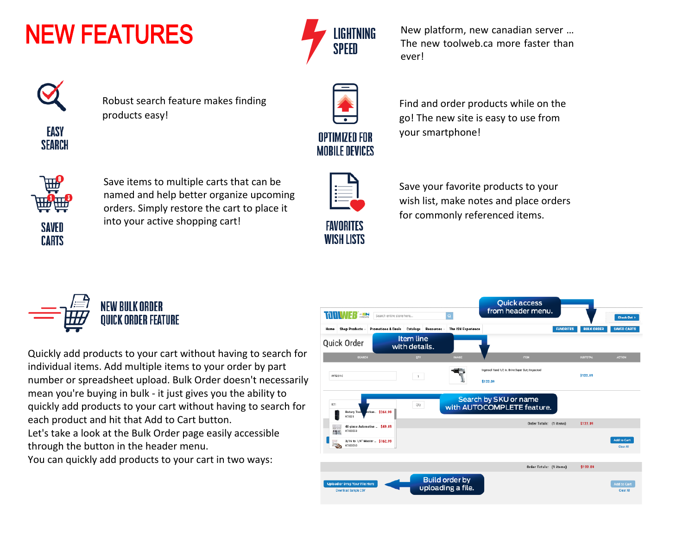## NEW FEATURES



Robust search feature makes finding products easy!



Save items to multiple carts that can be named and help better organize upcoming orders. Simply restore the cart to place it into your active shopping cart!



Quickly add products to your cart without having to search for individual items. Add multiple items to your order by part number or spreadsheet upload. Bulk Order doesn't necessarily mean you're buying in bulk - it just gives you the ability to quickly add products to your cart without having to search for each product and hit that Add to Cart button. Let's take a look at the Bulk Order page easily accessible through the button in the header menu.

You can quickly add products to your cart in two ways:



New platform, new canadian server … The new toolweb.ca more faster than ever!



Find and order products while on the go! The new site is easy to use from your smartphone!



Save your favorite products to your wish list, make notes and place orders for commonly referenced items.